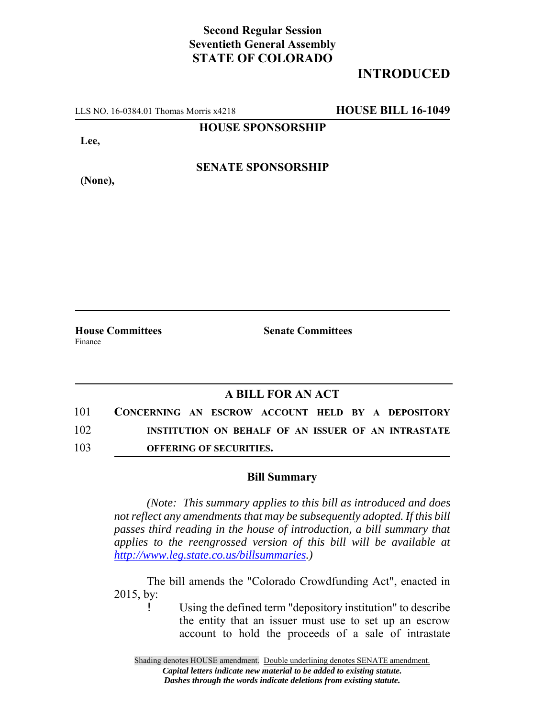## **Second Regular Session Seventieth General Assembly STATE OF COLORADO**

# **INTRODUCED**

LLS NO. 16-0384.01 Thomas Morris x4218 **HOUSE BILL 16-1049**

### **HOUSE SPONSORSHIP**

**Lee,**

**(None),**

### **SENATE SPONSORSHIP**

**House Committees Senate Committees** Finance

### **A BILL FOR AN ACT**

| 101 | CONCERNING AN ESCROW ACCOUNT HELD BY A DEPOSITORY |                                |  |  |                                                     |  |
|-----|---------------------------------------------------|--------------------------------|--|--|-----------------------------------------------------|--|
| 102 |                                                   |                                |  |  | INSTITUTION ON BEHALF OF AN ISSUER OF AN INTRASTATE |  |
| 103 |                                                   | <b>OFFERING OF SECURITIES.</b> |  |  |                                                     |  |

#### **Bill Summary**

*(Note: This summary applies to this bill as introduced and does not reflect any amendments that may be subsequently adopted. If this bill passes third reading in the house of introduction, a bill summary that applies to the reengrossed version of this bill will be available at http://www.leg.state.co.us/billsummaries.)*

The bill amends the "Colorado Crowdfunding Act", enacted in 2015, by:

> Using the defined term "depository institution" to describe the entity that an issuer must use to set up an escrow account to hold the proceeds of a sale of intrastate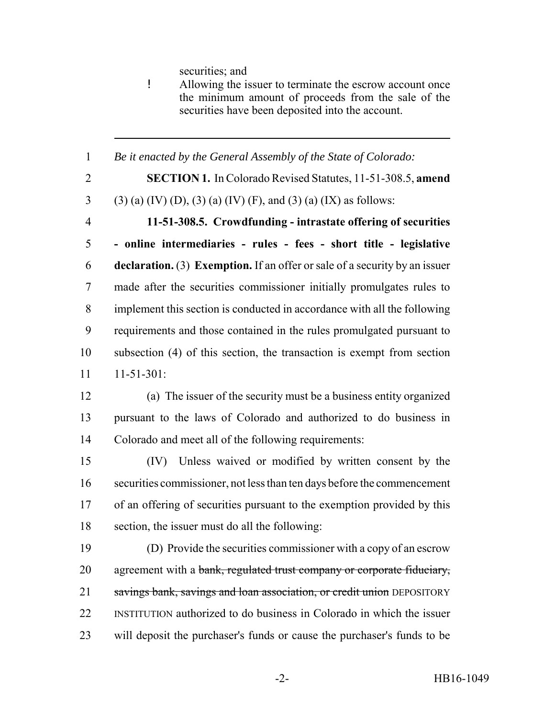securities; and

! Allowing the issuer to terminate the escrow account once the minimum amount of proceeds from the sale of the securities have been deposited into the account.

 *Be it enacted by the General Assembly of the State of Colorado:* **SECTION 1.** In Colorado Revised Statutes, 11-51-308.5, **amend** 3 (3) (a) (IV) (D), (3) (a) (IV) (F), and (3) (a) (IX) as follows: **11-51-308.5. Crowdfunding - intrastate offering of securities - online intermediaries - rules - fees - short title - legislative declaration.** (3) **Exemption.** If an offer or sale of a security by an issuer made after the securities commissioner initially promulgates rules to implement this section is conducted in accordance with all the following requirements and those contained in the rules promulgated pursuant to subsection (4) of this section, the transaction is exempt from section 11-51-301: (a) The issuer of the security must be a business entity organized pursuant to the laws of Colorado and authorized to do business in Colorado and meet all of the following requirements: (IV) Unless waived or modified by written consent by the securities commissioner, not less than ten days before the commencement of an offering of securities pursuant to the exemption provided by this section, the issuer must do all the following: (D) Provide the securities commissioner with a copy of an escrow 20 agreement with a bank, regulated trust company or corporate fiduciary, 21 savings bank, savings and loan association, or credit union DEPOSITORY INSTITUTION authorized to do business in Colorado in which the issuer will deposit the purchaser's funds or cause the purchaser's funds to be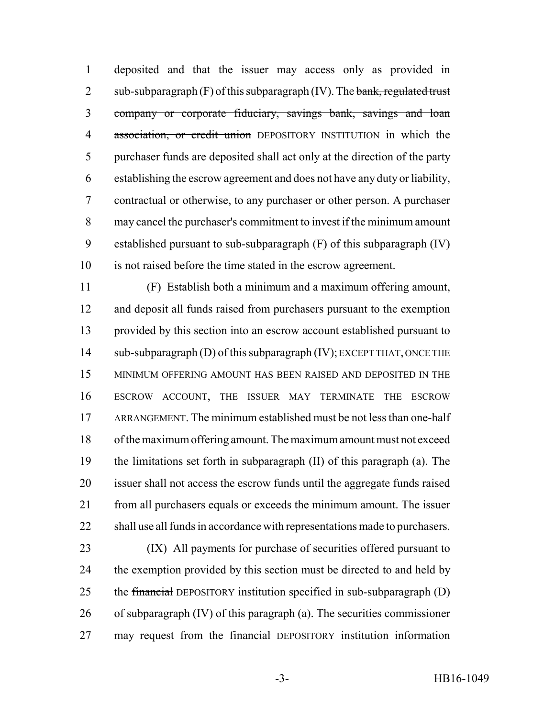deposited and that the issuer may access only as provided in 2 sub-subparagraph  $(F)$  of this subparagraph  $(IV)$ . The bank, regulated trust company or corporate fiduciary, savings bank, savings and loan 4 association, or credit union DEPOSITORY INSTITUTION in which the purchaser funds are deposited shall act only at the direction of the party establishing the escrow agreement and does not have any duty or liability, contractual or otherwise, to any purchaser or other person. A purchaser may cancel the purchaser's commitment to invest if the minimum amount established pursuant to sub-subparagraph (F) of this subparagraph (IV) is not raised before the time stated in the escrow agreement.

 (F) Establish both a minimum and a maximum offering amount, and deposit all funds raised from purchasers pursuant to the exemption provided by this section into an escrow account established pursuant to 14 sub-subparagraph (D) of this subparagraph (IV); EXCEPT THAT, ONCE THE MINIMUM OFFERING AMOUNT HAS BEEN RAISED AND DEPOSITED IN THE ESCROW ACCOUNT, THE ISSUER MAY TERMINATE THE ESCROW ARRANGEMENT. The minimum established must be not less than one-half of the maximum offering amount. The maximum amount must not exceed the limitations set forth in subparagraph (II) of this paragraph (a). The issuer shall not access the escrow funds until the aggregate funds raised from all purchasers equals or exceeds the minimum amount. The issuer shall use all funds in accordance with representations made to purchasers.

 (IX) All payments for purchase of securities offered pursuant to 24 the exemption provided by this section must be directed to and held by 25 the financial DEPOSITORY institution specified in sub-subparagraph (D) of subparagraph (IV) of this paragraph (a). The securities commissioner 27 may request from the financial DEPOSITORY institution information